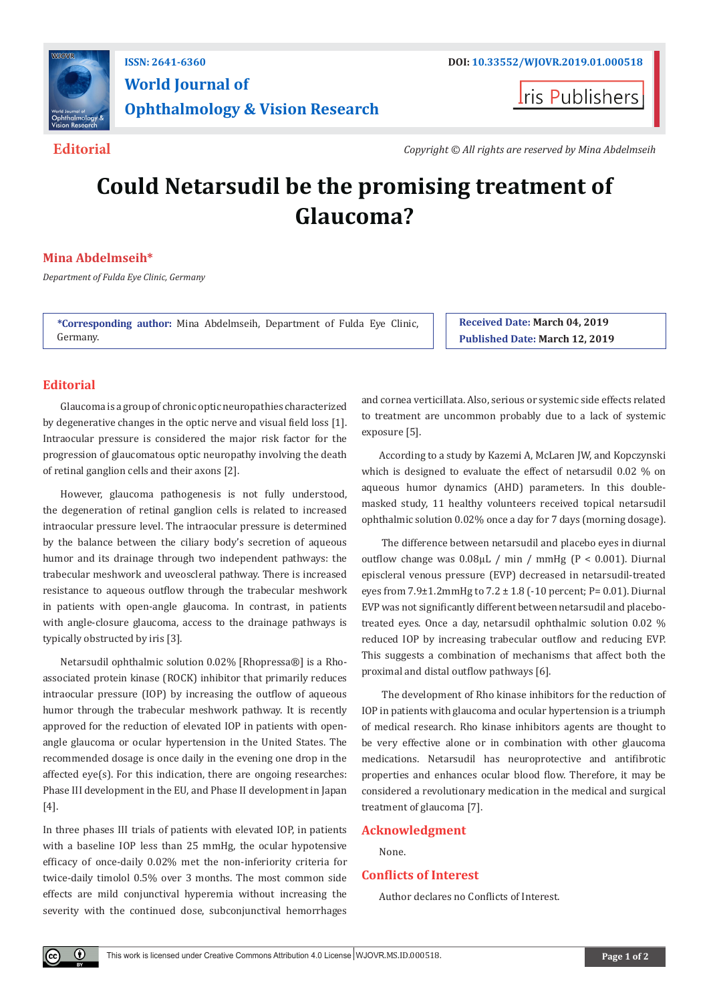

# **World Journal of Ophthalmology & Vision Research**

**Iris Publishers** 

**Editorial** *Copyright © All rights are reserved by Mina Abdelmseih*

## **Could Netarsudil be the promising treatment of Glaucoma?**

### **Mina Abdelmseih\***

*Department of Fulda Eye Clinic, Germany*

**\*Corresponding author:** Mina Abdelmseih, Department of Fulda Eye Clinic, Germany.

**Received Date: March 04, 2019 Published Date: March 12, 2019**

#### **Editorial**

Glaucoma is a group of chronic optic neuropathies characterized by degenerative changes in the optic nerve and visual field loss [1]. Intraocular pressure is considered the major risk factor for the progression of glaucomatous optic neuropathy involving the death of retinal ganglion cells and their axons [2].

However, glaucoma pathogenesis is not fully understood, the degeneration of retinal ganglion cells is related to increased intraocular pressure level. The intraocular pressure is determined by the balance between the ciliary body's secretion of aqueous humor and its drainage through two independent pathways: the trabecular meshwork and uveoscleral pathway. There is increased resistance to aqueous outflow through the trabecular meshwork in patients with open-angle glaucoma. In contrast, in patients with angle-closure glaucoma, access to the drainage pathways is typically obstructed by iris [3].

Netarsudil ophthalmic solution 0.02% [Rhopressa®] is a Rhoassociated protein kinase (ROCK) inhibitor that primarily reduces intraocular pressure (IOP) by increasing the outflow of aqueous humor through the trabecular meshwork pathway. It is recently approved for the reduction of elevated IOP in patients with openangle glaucoma or ocular hypertension in the United States. The recommended dosage is once daily in the evening one drop in the affected eye(s). For this indication, there are ongoing researches: Phase III development in the EU, and Phase II development in Japan [4].

In three phases III trials of patients with elevated IOP, in patients with a baseline IOP less than 25 mmHg, the ocular hypotensive efficacy of once-daily 0.02% met the non-inferiority criteria for twice-daily timolol 0.5% over 3 months. The most common side effects are mild conjunctival hyperemia without increasing the severity with the continued dose, subconjunctival hemorrhages

and cornea verticillata. Also, serious or systemic side effects related to treatment are uncommon probably due to a lack of systemic exposure [5].

According to a study by Kazemi A, McLaren JW, and Kopczynski which is designed to evaluate the effect of netarsudil 0.02 % on aqueous humor dynamics (AHD) parameters. In this doublemasked study, 11 healthy volunteers received topical netarsudil ophthalmic solution 0.02% once a day for 7 days (morning dosage).

 The difference between netarsudil and placebo eyes in diurnal outflow change was 0.08μL / min / mmHg (P < 0.001). Diurnal episcleral venous pressure (EVP) decreased in netarsudil-treated eyes from 7.9±1.2mmHg to 7.2 ± 1.8 (-10 percent; P= 0.01). Diurnal EVP was not significantly different between netarsudil and placebotreated eyes. Once a day, netarsudil ophthalmic solution 0.02 % reduced IOP by increasing trabecular outflow and reducing EVP. This suggests a combination of mechanisms that affect both the proximal and distal outflow pathways [6].

 The development of Rho kinase inhibitors for the reduction of IOP in patients with glaucoma and ocular hypertension is a triumph of medical research. Rho kinase inhibitors agents are thought to be very effective alone or in combination with other glaucoma medications. Netarsudil has neuroprotective and antifibrotic properties and enhances ocular blood flow. Therefore, it may be considered a revolutionary medication in the medical and surgical treatment of glaucoma [7].

#### **Acknowledgment**

None.

#### **Conflicts of Interest**

Author declares no Conflicts of Interest.